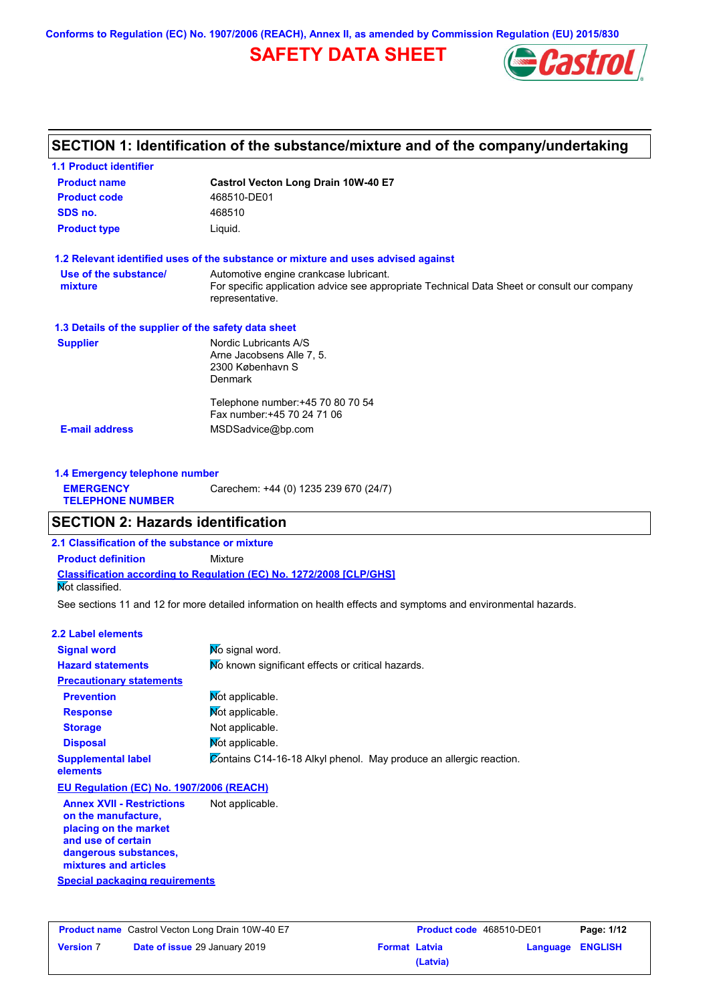**Conforms to Regulation (EC) No. 1907/2006 (REACH), Annex II, as amended by Commission Regulation (EU) 2015/830**

## **SAFETY DATA SHEET**



## **SECTION 1: Identification of the substance/mixture and of the company/undertaking**

| <b>1.1 Product identifier</b>                        |                                                                                                                |
|------------------------------------------------------|----------------------------------------------------------------------------------------------------------------|
| <b>Product name</b>                                  | Castrol Vecton Long Drain 10W-40 E7                                                                            |
| <b>Product code</b>                                  | 468510-DE01                                                                                                    |
| SDS no.                                              | 468510                                                                                                         |
| <b>Product type</b>                                  | Liquid.                                                                                                        |
|                                                      | 1.2 Relevant identified uses of the substance or mixture and uses advised against                              |
| Use of the substance/                                | Automotive engine crankcase lubricant.                                                                         |
| mixture                                              | For specific application advice see appropriate Technical Data Sheet or consult our company<br>representative. |
| 1.3 Details of the supplier of the safety data sheet |                                                                                                                |
| <b>Supplier</b>                                      | Nordic Lubricants A/S                                                                                          |
|                                                      | Arne Jacobsens Alle 7, 5.                                                                                      |
|                                                      | 2300 København S<br><b>Denmark</b>                                                                             |
|                                                      |                                                                                                                |
|                                                      | Telephone number: +45 70 80 70 54                                                                              |
|                                                      | Fax number: +45 70 24 71 06                                                                                    |
| <b>E-mail address</b>                                | MSDSadvice@bp.com                                                                                              |
|                                                      |                                                                                                                |
|                                                      |                                                                                                                |

| 1.4 Emergency telephone number              |                                       |  |  |  |
|---------------------------------------------|---------------------------------------|--|--|--|
| <b>EMERGENCY</b><br><b>TELEPHONE NUMBER</b> | Carechem: +44 (0) 1235 239 670 (24/7) |  |  |  |

## **SECTION 2: Hazards identification**

**2.1 Classification of the substance or mixture**

**Classification according to Regulation (EC) No. 1272/2008 [CLP/GHS] Product definition** Mixture

Not classified.

See sections 11 and 12 for more detailed information on health effects and symptoms and environmental hazards.

### **2.2 Label elements**

| No signal word.                                                    |
|--------------------------------------------------------------------|
| No known significant effects or critical hazards.                  |
|                                                                    |
| Mot applicable.                                                    |
| Mot applicable.                                                    |
| Not applicable.                                                    |
| Not applicable.                                                    |
| Contains C14-16-18 Alkyl phenol. May produce an allergic reaction. |
|                                                                    |

### **EU Regulation (EC) No. 1907/2006 (REACH)**

**Annex XVII - Restrictions on the manufacture, placing on the market and use of certain dangerous substances, mixtures and articles** Not applicable.

**Special packaging requirements**

|                  | <b>Product name</b> Castrol Vecton Long Drain 10W-40 E7 |
|------------------|---------------------------------------------------------|
| <b>Version 7</b> | <b>Date of issue 29 January 2019</b>                    |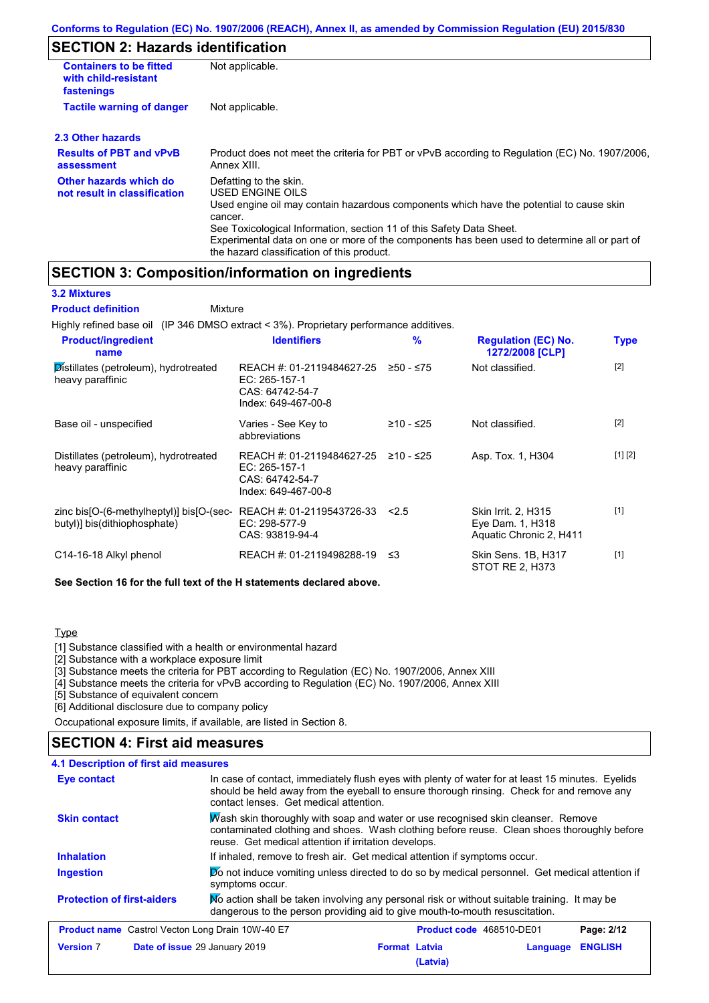## **SECTION 2: Hazards identification**

| <b>Containers to be fitted</b><br>with child-resistant<br>fastenings | Not applicable.                                                                                                                                                                                                               |
|----------------------------------------------------------------------|-------------------------------------------------------------------------------------------------------------------------------------------------------------------------------------------------------------------------------|
| <b>Tactile warning of danger</b>                                     | Not applicable.                                                                                                                                                                                                               |
| 2.3 Other hazards                                                    |                                                                                                                                                                                                                               |
| <b>Results of PBT and vPvB</b><br>assessment                         | Product does not meet the criteria for PBT or vPvB according to Regulation (EC) No. 1907/2006,<br>Annex XIII.                                                                                                                 |
| Other hazards which do<br>not result in classification               | Defatting to the skin.<br>USED ENGINE OILS<br>Used engine oil may contain hazardous components which have the potential to cause skin                                                                                         |
|                                                                      | cancer.<br>See Toxicological Information, section 11 of this Safety Data Sheet.<br>Experimental data on one or more of the components has been used to determine all or part of<br>the hazard classification of this product. |

## **SECTION 3: Composition/information on ingredients**

**3.2 Mixtures Product definition**

Mixture

Highly refined base oil (IP 346 DMSO extract < 3%). Proprietary performance additives.

| <b>Product/ingredient</b><br>name                                        | <b>Identifiers</b>                                                                   | $\frac{9}{6}$ | <b>Regulation (EC) No.</b><br>1272/2008 [CLP]                      | <b>Type</b> |
|--------------------------------------------------------------------------|--------------------------------------------------------------------------------------|---------------|--------------------------------------------------------------------|-------------|
| Distillates (petroleum), hydrotreated<br>heavy paraffinic                | REACH #: 01-2119484627-25<br>EC: 265-157-1<br>CAS: 64742-54-7<br>Index: 649-467-00-8 | ≥50 - ≤75     | Not classified.                                                    | $[2]$       |
| Base oil - unspecified                                                   | Varies - See Key to<br>abbreviations                                                 | ≥10 - ≤25     | Not classified.                                                    | $[2]$       |
| Distillates (petroleum), hydrotreated<br>heavy paraffinic                | REACH #: 01-2119484627-25<br>EC: 265-157-1<br>CAS: 64742-54-7<br>Index: 649-467-00-8 | ≥10 - ≤25     | Asp. Tox. 1, H304                                                  | [1] [2]     |
| zinc bis[O-(6-methylheptyl)] bis[O-(sec-<br>butyl)] bis(dithiophosphate) | REACH #: 01-2119543726-33<br>EC: 298-577-9<br>CAS: 93819-94-4                        | 2.5           | Skin Irrit. 2, H315<br>Eye Dam. 1, H318<br>Aquatic Chronic 2, H411 | $[1]$       |
| C14-16-18 Alkyl phenol                                                   | REACH #: 01-2119498288-19                                                            | - ≤3          | Skin Sens. 1B, H317<br>STOT RE 2, H373                             | $[1]$       |

**See Section 16 for the full text of the H statements declared above.**

### **Type**

[1] Substance classified with a health or environmental hazard

[2] Substance with a workplace exposure limit

[3] Substance meets the criteria for PBT according to Regulation (EC) No. 1907/2006, Annex XIII

[4] Substance meets the criteria for vPvB according to Regulation (EC) No. 1907/2006, Annex XIII

[5] Substance of equivalent concern

[6] Additional disclosure due to company policy

Occupational exposure limits, if available, are listed in Section 8.

### **SECTION 4: First aid measures**

| 4.1 Description of first aid measures                                                                                                                                                                                                                         |                                                                                                                                                                             |  |  |
|---------------------------------------------------------------------------------------------------------------------------------------------------------------------------------------------------------------------------------------------------------------|-----------------------------------------------------------------------------------------------------------------------------------------------------------------------------|--|--|
| In case of contact, immediately flush eyes with plenty of water for at least 15 minutes. Eyelids<br>Eye contact<br>should be held away from the eyeball to ensure thorough rinsing. Check for and remove any<br>contact lenses. Get medical attention.        |                                                                                                                                                                             |  |  |
| Wash skin thoroughly with soap and water or use recognised skin cleanser. Remove<br><b>Skin contact</b><br>contaminated clothing and shoes. Wash clothing before reuse. Clean shoes thoroughly before<br>reuse. Get medical attention if irritation develops. |                                                                                                                                                                             |  |  |
| <b>Inhalation</b>                                                                                                                                                                                                                                             | If inhaled, remove to fresh air. Get medical attention if symptoms occur.                                                                                                   |  |  |
| Do not induce vomiting unless directed to do so by medical personnel. Get medical attention if<br>Ingestion<br>symptoms occur.                                                                                                                                |                                                                                                                                                                             |  |  |
| <b>Protection of first-aiders</b>                                                                                                                                                                                                                             | No action shall be taken involving any personal risk or without suitable training. It may be<br>dangerous to the person providing aid to give mouth-to-mouth resuscitation. |  |  |
| <b>Product name</b> Castrol Vecton Long Drain 10W-40 E7                                                                                                                                                                                                       | <b>Product code</b> 468510-DE01<br>Page: 2/12                                                                                                                               |  |  |
| <b>Version 7</b>                                                                                                                                                                                                                                              | <b>Format Latvia</b><br><b>ENGLISH</b><br>Date of issue 29 January 2019<br>Language<br>(Latvia)                                                                             |  |  |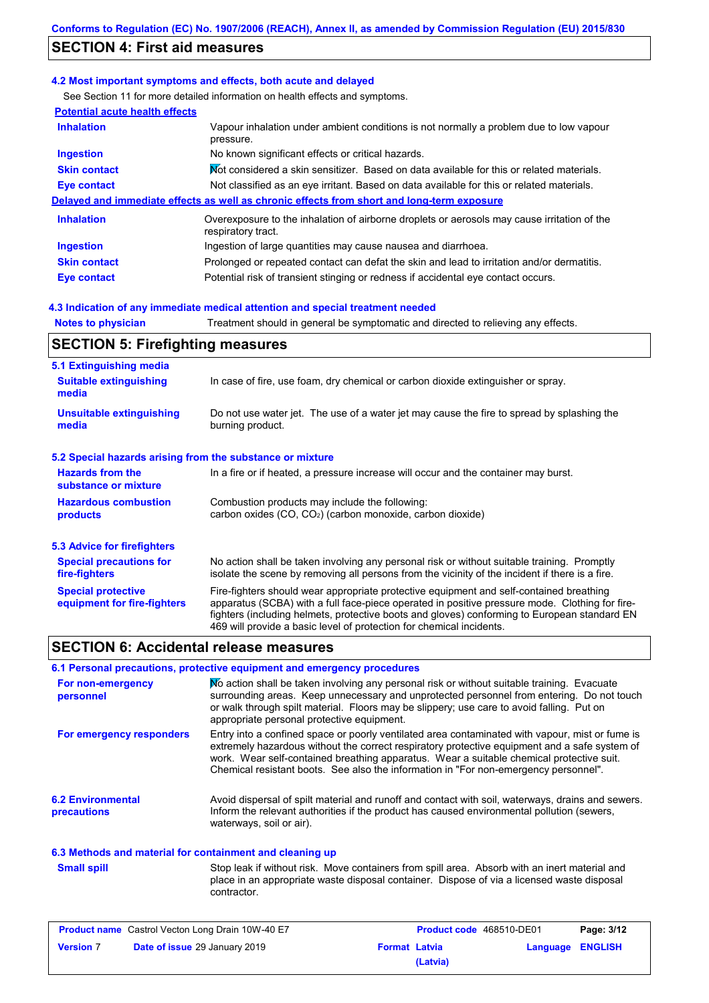## **SECTION 4: First aid measures**

### **4.2 Most important symptoms and effects, both acute and delayed**

See Section 11 for more detailed information on health effects and symptoms.

| <b>Potential acute health effects</b> |                                                                                                                   |
|---------------------------------------|-------------------------------------------------------------------------------------------------------------------|
| <b>Inhalation</b>                     | Vapour inhalation under ambient conditions is not normally a problem due to low vapour<br>pressure.               |
| <b>Ingestion</b>                      | No known significant effects or critical hazards.                                                                 |
| <b>Skin contact</b>                   | Mot considered a skin sensitizer. Based on data available for this or related materials.                          |
| <b>Eye contact</b>                    | Not classified as an eye irritant. Based on data available for this or related materials.                         |
|                                       | Delayed and immediate effects as well as chronic effects from short and long-term exposure                        |
| <b>Inhalation</b>                     | Overexposure to the inhalation of airborne droplets or aerosols may cause irritation of the<br>respiratory tract. |
| <b>Ingestion</b>                      | Ingestion of large quantities may cause nausea and diarrhoea.                                                     |
| <b>Skin contact</b>                   | Prolonged or repeated contact can defat the skin and lead to irritation and/or dermatitis.                        |
| Eye contact                           | Potential risk of transient stinging or redness if accidental eye contact occurs.                                 |
|                                       |                                                                                                                   |

### **4.3 Indication of any immediate medical attention and special treatment needed**

| <b>Notes to physician</b>               | Treatment should in general be symptomatic and directed to relieving any effects. |
|-----------------------------------------|-----------------------------------------------------------------------------------|
| <b>SECTION 5: Firefighting measures</b> |                                                                                   |
| 5.1 Extinguishing media                 |                                                                                   |

| <b>Suitable extinguishing</b><br>media                    | In case of fire, use foam, dry chemical or carbon dioxide extinguisher or spray.                                                                                                                                                                                                                                                                                  |
|-----------------------------------------------------------|-------------------------------------------------------------------------------------------------------------------------------------------------------------------------------------------------------------------------------------------------------------------------------------------------------------------------------------------------------------------|
| <b>Unsuitable extinguishing</b><br>media                  | Do not use water jet. The use of a water jet may cause the fire to spread by splashing the<br>burning product.                                                                                                                                                                                                                                                    |
| 5.2 Special hazards arising from the substance or mixture |                                                                                                                                                                                                                                                                                                                                                                   |
| <b>Hazards from the</b><br>substance or mixture           | In a fire or if heated, a pressure increase will occur and the container may burst.                                                                                                                                                                                                                                                                               |
| <b>Hazardous combustion</b><br>products                   | Combustion products may include the following:<br>carbon oxides (CO, CO <sub>2</sub> ) (carbon monoxide, carbon dioxide)                                                                                                                                                                                                                                          |
| <b>5.3 Advice for firefighters</b>                        |                                                                                                                                                                                                                                                                                                                                                                   |
| <b>Special precautions for</b><br>fire-fighters           | No action shall be taken involving any personal risk or without suitable training. Promptly<br>isolate the scene by removing all persons from the vicinity of the incident if there is a fire.                                                                                                                                                                    |
| <b>Special protective</b><br>equipment for fire-fighters  | Fire-fighters should wear appropriate protective equipment and self-contained breathing<br>apparatus (SCBA) with a full face-piece operated in positive pressure mode. Clothing for fire-<br>fighters (including helmets, protective boots and gloves) conforming to European standard EN<br>469 will provide a basic level of protection for chemical incidents. |

## **SECTION 6: Accidental release measures**

### **6.1 Personal precautions, protective equipment and emergency procedures**

| For non-emergency<br>personnel          | No action shall be taken involving any personal risk or without suitable training. Evacuate<br>surrounding areas. Keep unnecessary and unprotected personnel from entering. Do not touch<br>or walk through spilt material. Floors may be slippery; use care to avoid falling. Put on<br>appropriate personal protective equipment.                                                  |
|-----------------------------------------|--------------------------------------------------------------------------------------------------------------------------------------------------------------------------------------------------------------------------------------------------------------------------------------------------------------------------------------------------------------------------------------|
| For emergency responders                | Entry into a confined space or poorly ventilated area contaminated with vapour, mist or fume is<br>extremely hazardous without the correct respiratory protective equipment and a safe system of<br>work. Wear self-contained breathing apparatus. Wear a suitable chemical protective suit.<br>Chemical resistant boots. See also the information in "For non-emergency personnel". |
| <b>6.2 Environmental</b><br>precautions | Avoid dispersal of spilt material and runoff and contact with soil, waterways, drains and sewers.<br>Inform the relevant authorities if the product has caused environmental pollution (sewers,<br>waterways, soil or air).                                                                                                                                                          |

### **6.3 Methods and material for containment and cleaning up**

**Small spill**

Stop leak if without risk. Move containers from spill area. Absorb with an inert material and place in an appropriate waste disposal container. Dispose of via a licensed waste disposal contractor.

| <b>Product name</b> Castrol Vecton Long Drain 10W-40 E7 |                                      | <b>Product code</b> 468510-DE01 |          | Page: 3/12       |  |
|---------------------------------------------------------|--------------------------------------|---------------------------------|----------|------------------|--|
| <b>Version 7</b>                                        | <b>Date of issue 29 January 2019</b> | <b>Format Latvia</b>            |          | Language ENGLISH |  |
|                                                         |                                      |                                 | (Latvia) |                  |  |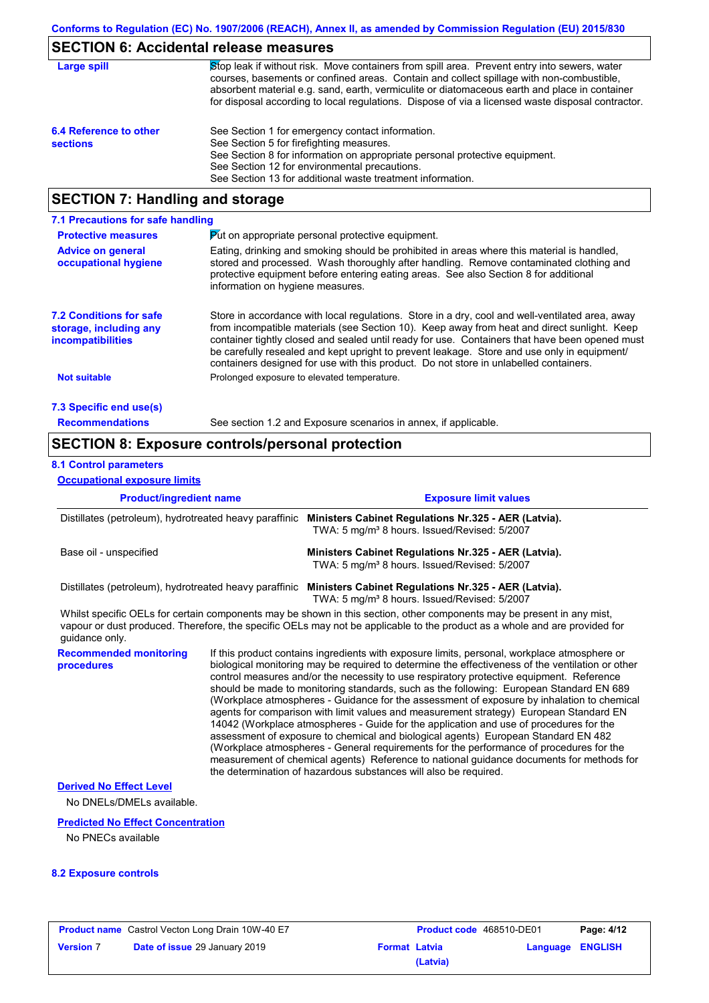### **SECTION 6: Accidental release measures**

| Large spill                               | Stop leak if without risk. Move containers from spill area. Prevent entry into sewers, water<br>courses, basements or confined areas. Contain and collect spillage with non-combustible,<br>absorbent material e.g. sand, earth, vermiculite or diatomaceous earth and place in container<br>for disposal according to local regulations. Dispose of via a licensed waste disposal contractor. |
|-------------------------------------------|------------------------------------------------------------------------------------------------------------------------------------------------------------------------------------------------------------------------------------------------------------------------------------------------------------------------------------------------------------------------------------------------|
| 6.4 Reference to other<br><b>sections</b> | See Section 1 for emergency contact information.<br>See Section 5 for firefighting measures.<br>See Section 8 for information on appropriate personal protective equipment.<br>See Section 12 for environmental precautions.<br>See Section 13 for additional waste treatment information.                                                                                                     |

## **SECTION 7: Handling and storage**

| 7.1 Precautions for safe handling                                                    |                                                                                                                                                                                                                                                                                                                                                                                                                                                                                          |
|--------------------------------------------------------------------------------------|------------------------------------------------------------------------------------------------------------------------------------------------------------------------------------------------------------------------------------------------------------------------------------------------------------------------------------------------------------------------------------------------------------------------------------------------------------------------------------------|
| <b>Protective measures</b>                                                           | $\triangleright$ to appropriate personal protective equipment.                                                                                                                                                                                                                                                                                                                                                                                                                           |
| <b>Advice on general</b><br>occupational hygiene                                     | Eating, drinking and smoking should be prohibited in areas where this material is handled.<br>stored and processed. Wash thoroughly after handling. Remove contaminated clothing and<br>protective equipment before entering eating areas. See also Section 8 for additional<br>information on hygiene measures.                                                                                                                                                                         |
| <b>7.2 Conditions for safe</b><br>storage, including any<br><b>incompatibilities</b> | Store in accordance with local requiations. Store in a dry, cool and well-ventilated area, away<br>from incompatible materials (see Section 10). Keep away from heat and direct sunlight. Keep<br>container tightly closed and sealed until ready for use. Containers that have been opened must<br>be carefully resealed and kept upright to prevent leakage. Store and use only in equipment/<br>containers designed for use with this product. Do not store in unlabelled containers. |
| <b>Not suitable</b>                                                                  | Prolonged exposure to elevated temperature.                                                                                                                                                                                                                                                                                                                                                                                                                                              |
| 7.3 Specific end use(s)                                                              |                                                                                                                                                                                                                                                                                                                                                                                                                                                                                          |
| <b>Recommendations</b>                                                               | See section 1.2 and Exposure scenarios in annex, if applicable.                                                                                                                                                                                                                                                                                                                                                                                                                          |

## **SECTION 8: Exposure controls/personal protection**

#### **8.1 Control parameters**

**Occupational exposure limits**

**Product/ingredient name Exposure limit values Recommended monitoring procedures** If this product contains ingredients with exposure limits, personal, workplace atmosphere or biological monitoring may be required to determine the effectiveness of the ventilation or other control measures and/or the necessity to use respiratory protective equipment. Reference should be made to monitoring standards, such as the following: European Standard EN 689 (Workplace atmospheres - Guidance for the assessment of exposure by inhalation to chemical agents for comparison with limit values and measurement strategy) European Standard EN 14042 (Workplace atmospheres - Guide for the application and use of procedures for the assessment of exposure to chemical and biological agents) European Standard EN 482 (Workplace atmospheres - General requirements for the performance of procedures for the measurement of chemical agents) Reference to national guidance documents for methods for Whilst specific OELs for certain components may be shown in this section, other components may be present in any mist, vapour or dust produced. Therefore, the specific OELs may not be applicable to the product as a whole and are provided for guidance only. Distillates (petroleum), hydrotreated heavy paraffinic **Ministers Cabinet Regulations Nr.325 - AER (Latvia).** TWA: 5 mg/m<sup>3</sup> 8 hours. Issued/Revised: 5/2007 Base oil - unspecified **Ministers Cabinet Regulations Nr.325 - AER (Latvia).** TWA: 5 mg/m<sup>3</sup> 8 hours. Issued/Revised: 5/2007 Distillates (petroleum), hydrotreated heavy paraffinic **Ministers Cabinet Regulations Nr.325 - AER (Latvia).** TWA: 5 mg/m<sup>3</sup> 8 hours. Issued/Revised: 5/2007

the determination of hazardous substances will also be required.

#### **Derived No Effect Level**

No DNELs/DMELs available.

#### **Predicted No Effect Concentration**

No PNECs available

### **8.2 Exposure controls**

|                  | <b>Product name</b> Castrol Vecton Long Drain 10W-40 E7 |                      | <b>Product code</b> 468510-DE01 |                  | Page: 4/12 |
|------------------|---------------------------------------------------------|----------------------|---------------------------------|------------------|------------|
| <b>Version 7</b> | <b>Date of issue 29 January 2019</b>                    | <b>Format Latvia</b> |                                 | Language ENGLISH |            |
|                  |                                                         |                      | (Latvia)                        |                  |            |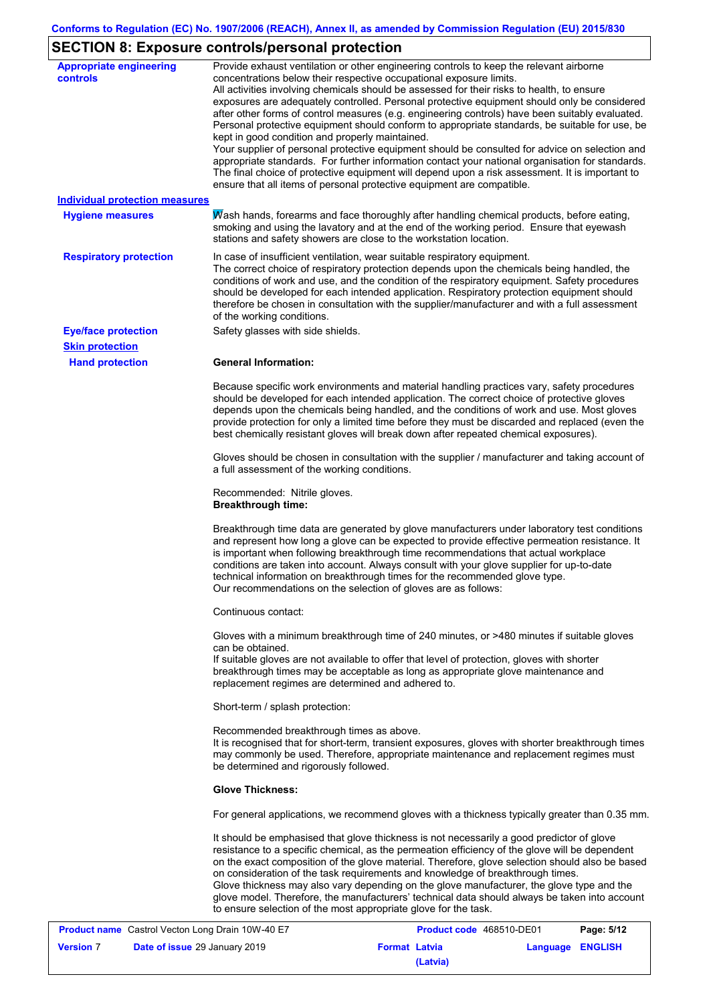# **SECTION 8: Exposure controls/personal protection**

| <b>Appropriate engineering</b><br>controls | Provide exhaust ventilation or other engineering controls to keep the relevant airborne<br>concentrations below their respective occupational exposure limits.<br>All activities involving chemicals should be assessed for their risks to health, to ensure<br>exposures are adequately controlled. Personal protective equipment should only be considered<br>after other forms of control measures (e.g. engineering controls) have been suitably evaluated.<br>Personal protective equipment should conform to appropriate standards, be suitable for use, be<br>kept in good condition and properly maintained.<br>Your supplier of personal protective equipment should be consulted for advice on selection and<br>appropriate standards. For further information contact your national organisation for standards.<br>The final choice of protective equipment will depend upon a risk assessment. It is important to<br>ensure that all items of personal protective equipment are compatible. |
|--------------------------------------------|---------------------------------------------------------------------------------------------------------------------------------------------------------------------------------------------------------------------------------------------------------------------------------------------------------------------------------------------------------------------------------------------------------------------------------------------------------------------------------------------------------------------------------------------------------------------------------------------------------------------------------------------------------------------------------------------------------------------------------------------------------------------------------------------------------------------------------------------------------------------------------------------------------------------------------------------------------------------------------------------------------|
| <b>Individual protection measures</b>      |                                                                                                                                                                                                                                                                                                                                                                                                                                                                                                                                                                                                                                                                                                                                                                                                                                                                                                                                                                                                         |
| <b>Hygiene measures</b>                    | Mash hands, forearms and face thoroughly after handling chemical products, before eating,<br>smoking and using the lavatory and at the end of the working period. Ensure that eyewash<br>stations and safety showers are close to the workstation location.                                                                                                                                                                                                                                                                                                                                                                                                                                                                                                                                                                                                                                                                                                                                             |
| <b>Respiratory protection</b>              | In case of insufficient ventilation, wear suitable respiratory equipment.<br>The correct choice of respiratory protection depends upon the chemicals being handled, the<br>conditions of work and use, and the condition of the respiratory equipment. Safety procedures<br>should be developed for each intended application. Respiratory protection equipment should<br>therefore be chosen in consultation with the supplier/manufacturer and with a full assessment<br>of the working conditions.                                                                                                                                                                                                                                                                                                                                                                                                                                                                                                   |
| <b>Eye/face protection</b>                 | Safety glasses with side shields.                                                                                                                                                                                                                                                                                                                                                                                                                                                                                                                                                                                                                                                                                                                                                                                                                                                                                                                                                                       |
| <b>Skin protection</b>                     |                                                                                                                                                                                                                                                                                                                                                                                                                                                                                                                                                                                                                                                                                                                                                                                                                                                                                                                                                                                                         |
| <b>Hand protection</b>                     | <b>General Information:</b>                                                                                                                                                                                                                                                                                                                                                                                                                                                                                                                                                                                                                                                                                                                                                                                                                                                                                                                                                                             |
|                                            | Because specific work environments and material handling practices vary, safety procedures<br>should be developed for each intended application. The correct choice of protective gloves<br>depends upon the chemicals being handled, and the conditions of work and use. Most gloves<br>provide protection for only a limited time before they must be discarded and replaced (even the<br>best chemically resistant gloves will break down after repeated chemical exposures).                                                                                                                                                                                                                                                                                                                                                                                                                                                                                                                        |
|                                            | Gloves should be chosen in consultation with the supplier / manufacturer and taking account of<br>a full assessment of the working conditions.                                                                                                                                                                                                                                                                                                                                                                                                                                                                                                                                                                                                                                                                                                                                                                                                                                                          |
|                                            | Recommended: Nitrile gloves.<br><b>Breakthrough time:</b>                                                                                                                                                                                                                                                                                                                                                                                                                                                                                                                                                                                                                                                                                                                                                                                                                                                                                                                                               |
|                                            | Breakthrough time data are generated by glove manufacturers under laboratory test conditions<br>and represent how long a glove can be expected to provide effective permeation resistance. It<br>is important when following breakthrough time recommendations that actual workplace<br>conditions are taken into account. Always consult with your glove supplier for up-to-date<br>technical information on breakthrough times for the recommended glove type.<br>Our recommendations on the selection of gloves are as follows:                                                                                                                                                                                                                                                                                                                                                                                                                                                                      |
|                                            | Continuous contact:                                                                                                                                                                                                                                                                                                                                                                                                                                                                                                                                                                                                                                                                                                                                                                                                                                                                                                                                                                                     |
|                                            | Gloves with a minimum breakthrough time of 240 minutes, or >480 minutes if suitable gloves<br>can be obtained.<br>If suitable gloves are not available to offer that level of protection, gloves with shorter<br>breakthrough times may be acceptable as long as appropriate glove maintenance and<br>replacement regimes are determined and adhered to.                                                                                                                                                                                                                                                                                                                                                                                                                                                                                                                                                                                                                                                |
|                                            | Short-term / splash protection:                                                                                                                                                                                                                                                                                                                                                                                                                                                                                                                                                                                                                                                                                                                                                                                                                                                                                                                                                                         |
|                                            | Recommended breakthrough times as above.<br>It is recognised that for short-term, transient exposures, gloves with shorter breakthrough times<br>may commonly be used. Therefore, appropriate maintenance and replacement regimes must<br>be determined and rigorously followed.                                                                                                                                                                                                                                                                                                                                                                                                                                                                                                                                                                                                                                                                                                                        |
|                                            | <b>Glove Thickness:</b>                                                                                                                                                                                                                                                                                                                                                                                                                                                                                                                                                                                                                                                                                                                                                                                                                                                                                                                                                                                 |
|                                            | For general applications, we recommend gloves with a thickness typically greater than 0.35 mm.                                                                                                                                                                                                                                                                                                                                                                                                                                                                                                                                                                                                                                                                                                                                                                                                                                                                                                          |
|                                            | It should be emphasised that glove thickness is not necessarily a good predictor of glove<br>resistance to a specific chemical, as the permeation efficiency of the glove will be dependent<br>on the exact composition of the glove material. Therefore, glove selection should also be based<br>on consideration of the task requirements and knowledge of breakthrough times.<br>Glove thickness may also vary depending on the glove manufacturer, the glove type and the<br>glove model. Therefore, the manufacturers' technical data should always be taken into account<br>to ensure selection of the most appropriate glove for the task.                                                                                                                                                                                                                                                                                                                                                       |

|                  | <b>Product name</b> Castrol Vecton Long Drain 10W-40 E7 |                      | Product code 468510-DE01 |                         | Page: 5/12 |
|------------------|---------------------------------------------------------|----------------------|--------------------------|-------------------------|------------|
| <b>Version 7</b> | Date of issue 29 January 2019                           | <b>Format Latvia</b> |                          | <b>Language ENGLISH</b> |            |
|                  |                                                         |                      | (Latvia)                 |                         |            |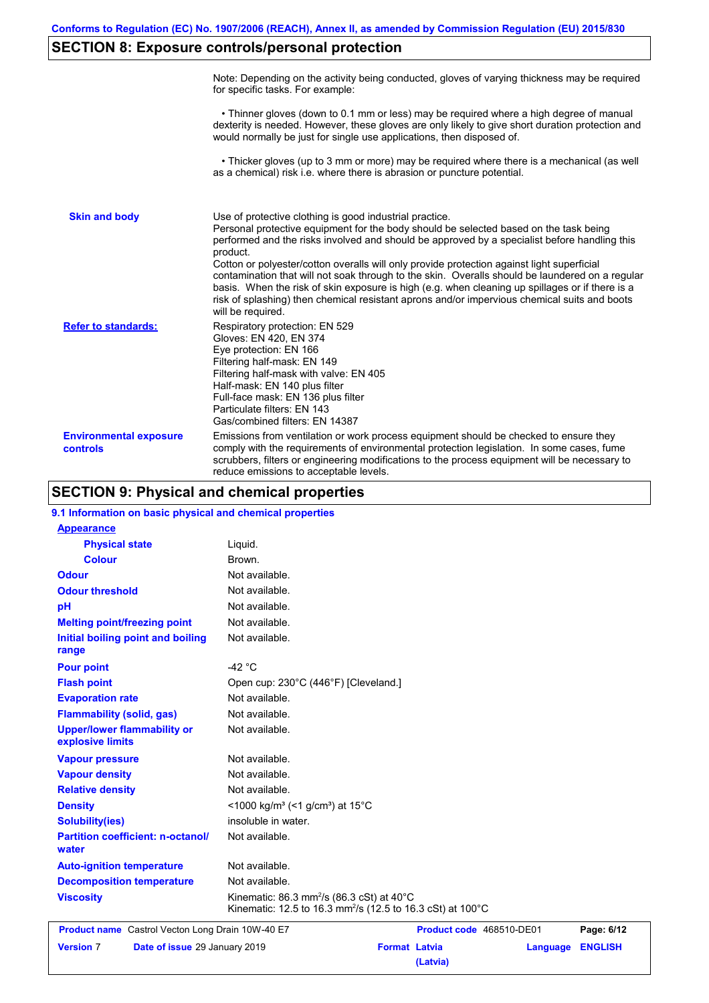# **SECTION 8: Exposure controls/personal protection**

|                                           | Note: Depending on the activity being conducted, gloves of varying thickness may be required<br>for specific tasks. For example:                                                                                                                                                                                                                                                                                                                                                                                                                                                                                                                                                      |
|-------------------------------------------|---------------------------------------------------------------------------------------------------------------------------------------------------------------------------------------------------------------------------------------------------------------------------------------------------------------------------------------------------------------------------------------------------------------------------------------------------------------------------------------------------------------------------------------------------------------------------------------------------------------------------------------------------------------------------------------|
|                                           | • Thinner gloves (down to 0.1 mm or less) may be required where a high degree of manual<br>dexterity is needed. However, these gloves are only likely to give short duration protection and<br>would normally be just for single use applications, then disposed of.                                                                                                                                                                                                                                                                                                                                                                                                                  |
|                                           | • Thicker gloves (up to 3 mm or more) may be required where there is a mechanical (as well<br>as a chemical) risk i.e. where there is abrasion or puncture potential.                                                                                                                                                                                                                                                                                                                                                                                                                                                                                                                 |
| <b>Skin and body</b>                      | Use of protective clothing is good industrial practice.<br>Personal protective equipment for the body should be selected based on the task being<br>performed and the risks involved and should be approved by a specialist before handling this<br>product.<br>Cotton or polyester/cotton overalls will only provide protection against light superficial<br>contamination that will not soak through to the skin. Overalls should be laundered on a regular<br>basis. When the risk of skin exposure is high (e.g. when cleaning up spillages or if there is a<br>risk of splashing) then chemical resistant aprons and/or impervious chemical suits and boots<br>will be required. |
| <b>Refer to standards:</b>                | Respiratory protection: EN 529<br>Gloves: EN 420, EN 374<br>Eye protection: EN 166<br>Filtering half-mask: EN 149<br>Filtering half-mask with valve: EN 405<br>Half-mask: EN 140 plus filter<br>Full-face mask: EN 136 plus filter<br>Particulate filters: EN 143<br>Gas/combined filters: EN 14387                                                                                                                                                                                                                                                                                                                                                                                   |
| <b>Environmental exposure</b><br>controls | Emissions from ventilation or work process equipment should be checked to ensure they<br>comply with the requirements of environmental protection legislation. In some cases, fume<br>scrubbers, filters or engineering modifications to the process equipment will be necessary to<br>reduce emissions to acceptable levels.                                                                                                                                                                                                                                                                                                                                                         |

## **SECTION 9: Physical and chemical properties**

| 9.1 Information on basic physical and chemical properties |                                                                                                                                           |
|-----------------------------------------------------------|-------------------------------------------------------------------------------------------------------------------------------------------|
| <b>Appearance</b>                                         |                                                                                                                                           |
| <b>Physical state</b>                                     | Liquid.                                                                                                                                   |
| <b>Colour</b>                                             | Brown.                                                                                                                                    |
| <b>Odour</b>                                              | Not available.                                                                                                                            |
| <b>Odour threshold</b>                                    | Not available.                                                                                                                            |
| pH                                                        | Not available.                                                                                                                            |
| <b>Melting point/freezing point</b>                       | Not available.                                                                                                                            |
| Initial boiling point and boiling<br>range                | Not available.                                                                                                                            |
| <b>Pour point</b>                                         | -42 $^{\circ}$ C                                                                                                                          |
| <b>Flash point</b>                                        | Open cup: 230°C (446°F) [Cleveland.]                                                                                                      |
| <b>Evaporation rate</b>                                   | Not available.                                                                                                                            |
| <b>Flammability (solid, gas)</b>                          | Not available.                                                                                                                            |
| <b>Upper/lower flammability or</b><br>explosive limits    | Not available.                                                                                                                            |
| <b>Vapour pressure</b>                                    | Not available.                                                                                                                            |
| <b>Vapour density</b>                                     | Not available.                                                                                                                            |
| <b>Relative density</b>                                   | Not available.                                                                                                                            |
| <b>Density</b>                                            | <1000 kg/m <sup>3</sup> (<1 g/cm <sup>3</sup> ) at 15 <sup>°</sup> C                                                                      |
| <b>Solubility(ies)</b>                                    | insoluble in water.                                                                                                                       |
| <b>Partition coefficient: n-octanol/</b><br>water         | Not available.                                                                                                                            |
| <b>Auto-ignition temperature</b>                          | Not available.                                                                                                                            |
| <b>Decomposition temperature</b>                          | Not available.                                                                                                                            |
| <b>Viscosity</b>                                          | Kinematic: 86.3 mm <sup>2</sup> /s (86.3 cSt) at $40^{\circ}$ C<br>Kinematic: 12.5 to 16.3 mm <sup>2</sup> /s (12.5 to 16.3 cSt) at 100°C |
| <b>Product name</b> Castrol Vecton Long Drain 10W-40 E7   | Product code 468510-DE01<br>Page: 6/12                                                                                                    |
| <b>Version 7</b><br>Date of issue 29 January 2019         | <b>Format Latvia</b><br><b>ENGLISH</b><br>Language<br>(Latvia)                                                                            |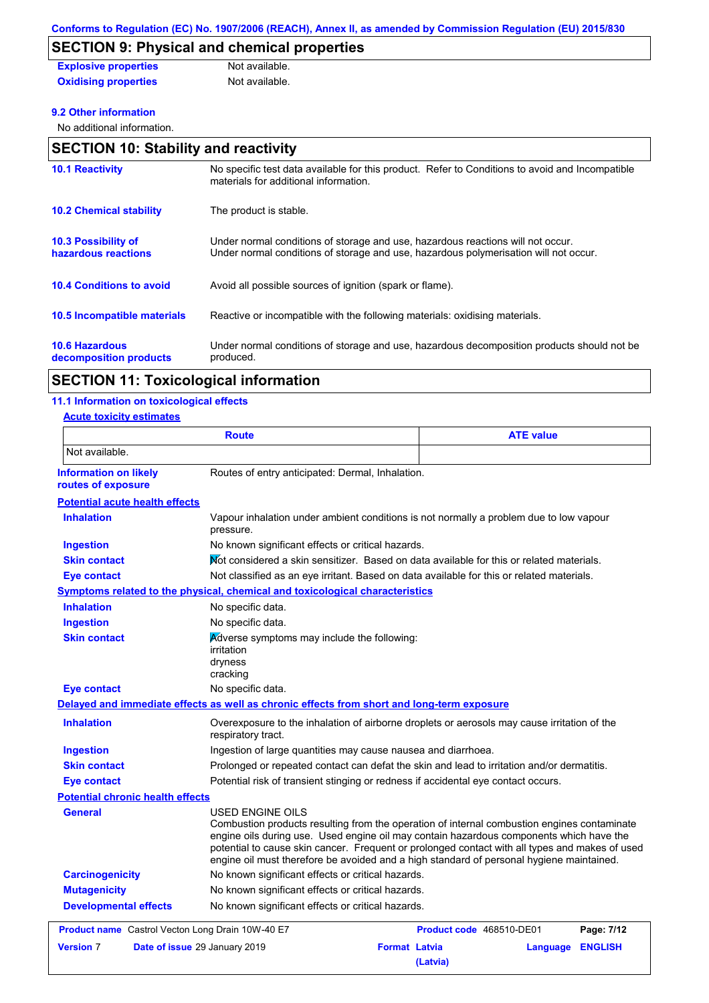# **SECTION 9: Physical and chemical properties**

| <b>Explosive properties</b> | Not available. |
|-----------------------------|----------------|
| <b>Oxidising properties</b> | Not available. |

### **9.2 Other information**

No additional information.

| <b>10.1 Reactivity</b>                            | No specific test data available for this product. Refer to Conditions to avoid and Incompatible<br>materials for additional information.                                |
|---------------------------------------------------|-------------------------------------------------------------------------------------------------------------------------------------------------------------------------|
| <b>10.2 Chemical stability</b>                    | The product is stable.                                                                                                                                                  |
| <b>10.3 Possibility of</b><br>hazardous reactions | Under normal conditions of storage and use, hazardous reactions will not occur.<br>Under normal conditions of storage and use, hazardous polymerisation will not occur. |
| <b>10.4 Conditions to avoid</b>                   | Avoid all possible sources of ignition (spark or flame).                                                                                                                |
| 10.5 Incompatible materials                       | Reactive or incompatible with the following materials: oxidising materials.                                                                                             |
| <b>10.6 Hazardous</b><br>decomposition products   | Under normal conditions of storage and use, hazardous decomposition products should not be<br>produced.                                                                 |

### **SECTION 11: Toxicological information**

### **11.1 Information on toxicological effects**

**Acute toxicity estimates**

| <b>Route</b>                                            |                                                                                                                                                                                                                                                                                                                                                                                                          | <b>ATE value</b>                |                |
|---------------------------------------------------------|----------------------------------------------------------------------------------------------------------------------------------------------------------------------------------------------------------------------------------------------------------------------------------------------------------------------------------------------------------------------------------------------------------|---------------------------------|----------------|
| Not available.                                          |                                                                                                                                                                                                                                                                                                                                                                                                          |                                 |                |
| <b>Information on likely</b><br>routes of exposure      | Routes of entry anticipated: Dermal, Inhalation.                                                                                                                                                                                                                                                                                                                                                         |                                 |                |
| <b>Potential acute health effects</b>                   |                                                                                                                                                                                                                                                                                                                                                                                                          |                                 |                |
| <b>Inhalation</b>                                       | Vapour inhalation under ambient conditions is not normally a problem due to low vapour<br>pressure.                                                                                                                                                                                                                                                                                                      |                                 |                |
| <b>Ingestion</b>                                        | No known significant effects or critical hazards.                                                                                                                                                                                                                                                                                                                                                        |                                 |                |
| <b>Skin contact</b>                                     | Not considered a skin sensitizer. Based on data available for this or related materials.                                                                                                                                                                                                                                                                                                                 |                                 |                |
| <b>Eye contact</b>                                      | Not classified as an eye irritant. Based on data available for this or related materials.                                                                                                                                                                                                                                                                                                                |                                 |                |
|                                                         | <b>Symptoms related to the physical, chemical and toxicological characteristics</b>                                                                                                                                                                                                                                                                                                                      |                                 |                |
| <b>Inhalation</b>                                       | No specific data.                                                                                                                                                                                                                                                                                                                                                                                        |                                 |                |
| <b>Ingestion</b>                                        | No specific data.                                                                                                                                                                                                                                                                                                                                                                                        |                                 |                |
| <b>Skin contact</b>                                     | Adverse symptoms may include the following:<br>irritation<br>dryness<br>cracking                                                                                                                                                                                                                                                                                                                         |                                 |                |
| <b>Eye contact</b>                                      | No specific data.                                                                                                                                                                                                                                                                                                                                                                                        |                                 |                |
|                                                         | Delayed and immediate effects as well as chronic effects from short and long-term exposure                                                                                                                                                                                                                                                                                                               |                                 |                |
| <b>Inhalation</b>                                       | Overexposure to the inhalation of airborne droplets or aerosols may cause irritation of the<br>respiratory tract.                                                                                                                                                                                                                                                                                        |                                 |                |
| <b>Ingestion</b>                                        | Ingestion of large quantities may cause nausea and diarrhoea.                                                                                                                                                                                                                                                                                                                                            |                                 |                |
| <b>Skin contact</b>                                     | Prolonged or repeated contact can defat the skin and lead to irritation and/or dermatitis.                                                                                                                                                                                                                                                                                                               |                                 |                |
| <b>Eye contact</b>                                      | Potential risk of transient stinging or redness if accidental eye contact occurs.                                                                                                                                                                                                                                                                                                                        |                                 |                |
| <b>Potential chronic health effects</b>                 |                                                                                                                                                                                                                                                                                                                                                                                                          |                                 |                |
| General                                                 | USED ENGINE OILS<br>Combustion products resulting from the operation of internal combustion engines contaminate<br>engine oils during use. Used engine oil may contain hazardous components which have the<br>potential to cause skin cancer. Frequent or prolonged contact with all types and makes of used<br>engine oil must therefore be avoided and a high standard of personal hygiene maintained. |                                 |                |
| <b>Carcinogenicity</b>                                  | No known significant effects or critical hazards.                                                                                                                                                                                                                                                                                                                                                        |                                 |                |
| <b>Mutagenicity</b>                                     | No known significant effects or critical hazards.                                                                                                                                                                                                                                                                                                                                                        |                                 |                |
| <b>Developmental effects</b>                            | No known significant effects or critical hazards.                                                                                                                                                                                                                                                                                                                                                        |                                 |                |
| <b>Product name</b> Castrol Vecton Long Drain 10W-40 E7 |                                                                                                                                                                                                                                                                                                                                                                                                          | <b>Product code</b> 468510-DE01 | Page: 7/12     |
| <b>Version 7</b>                                        | Date of issue 29 January 2019<br><b>Format Latvia</b>                                                                                                                                                                                                                                                                                                                                                    | Language<br>(Latvia)            | <b>ENGLISH</b> |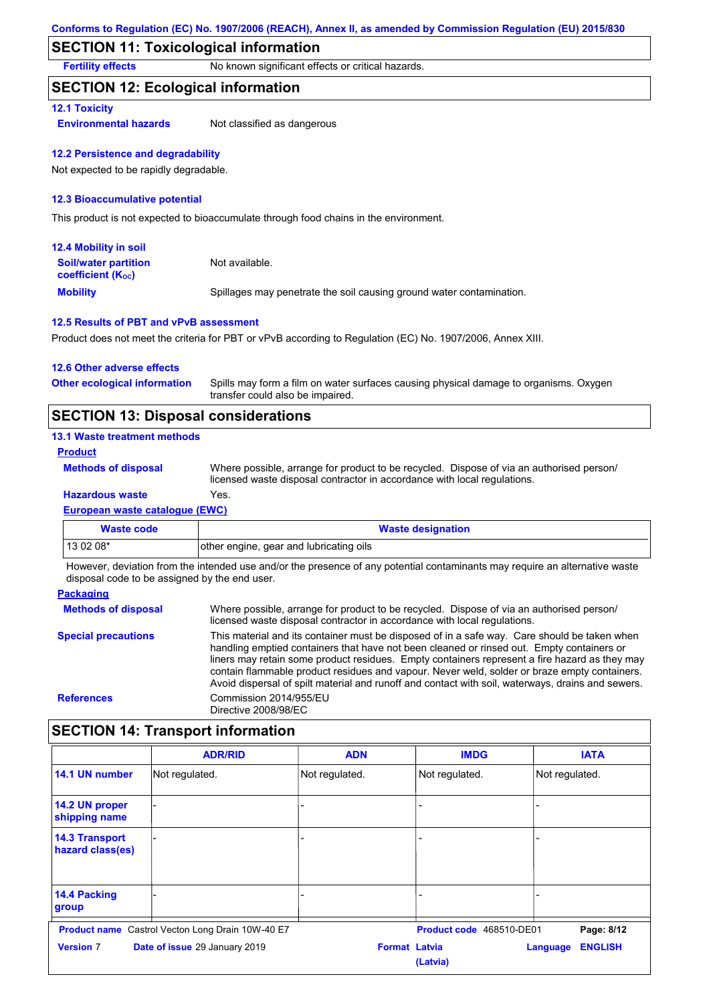## **SECTION 11: Toxicological information**

**Fertility effects** No known significant effects or critical hazards.

### **SECTION 12: Ecological information**

### **12.1 Toxicity**

**Environmental hazards** Not classified as dangerous

### **12.2 Persistence and degradability**

Not expected to be rapidly degradable.

#### **12.3 Bioaccumulative potential**

This product is not expected to bioaccumulate through food chains in the environment.

| <b>12.4 Mobility in soil</b>                                  |                                                                      |
|---------------------------------------------------------------|----------------------------------------------------------------------|
| <b>Soil/water partition</b><br>coefficient (K <sub>oc</sub> ) | Not available.                                                       |
| <b>Mobility</b>                                               | Spillages may penetrate the soil causing ground water contamination. |

### **12.5 Results of PBT and vPvB assessment**

Product does not meet the criteria for PBT or vPvB according to Regulation (EC) No. 1907/2006, Annex XIII.

| 12.6 Other adverse effects          |                                                                                                                           |
|-------------------------------------|---------------------------------------------------------------------------------------------------------------------------|
| <b>Other ecological information</b> | Spills may form a film on water surfaces causing physical damage to organisms. Oxygen<br>transfer could also be impaired. |

## **SECTION 13: Disposal considerations**

### **13.1 Waste treatment methods**

**Product**

```
Methods of disposal
```
**Hazardous waste** Yes. Where possible, arrange for product to be recycled. Dispose of via an authorised person/ licensed waste disposal contractor in accordance with local regulations.

## **European waste catalogue (EWC)**

| Waste code | <b>Waste designation</b>                |
|------------|-----------------------------------------|
| $130208*$  | other engine, gear and lubricating oils |

However, deviation from the intended use and/or the presence of any potential contaminants may require an alternative waste disposal code to be assigned by the end user.

#### **Packaging**

| <b>Methods of disposal</b> | Where possible, arrange for product to be recycled. Dispose of via an authorised person/<br>licensed waste disposal contractor in accordance with local regulations.                                                                                                                                                                                                                                                                                                                            |
|----------------------------|-------------------------------------------------------------------------------------------------------------------------------------------------------------------------------------------------------------------------------------------------------------------------------------------------------------------------------------------------------------------------------------------------------------------------------------------------------------------------------------------------|
| <b>Special precautions</b> | This material and its container must be disposed of in a safe way. Care should be taken when<br>handling emptied containers that have not been cleaned or rinsed out. Empty containers or<br>liners may retain some product residues. Empty containers represent a fire hazard as they may<br>contain flammable product residues and vapour. Never weld, solder or braze empty containers.<br>Avoid dispersal of spilt material and runoff and contact with soil, waterways, drains and sewers. |
| <b>References</b>          | Commission 2014/955/EU<br>Directive 2008/98/EC                                                                                                                                                                                                                                                                                                                                                                                                                                                  |

## **SECTION 14: Transport information**

|                                           | <b>ADR/RID</b>                                          | <b>ADN</b>           | <b>IMDG</b>              | <b>IATA</b>                |
|-------------------------------------------|---------------------------------------------------------|----------------------|--------------------------|----------------------------|
| 14.1 UN number                            | Not regulated.                                          | Not regulated.       | Not regulated.           | Not regulated.             |
| 14.2 UN proper<br>shipping name           |                                                         |                      |                          |                            |
| <b>14.3 Transport</b><br>hazard class(es) |                                                         |                      |                          |                            |
| 14.4 Packing<br>group                     |                                                         |                      |                          |                            |
|                                           | <b>Product name</b> Castrol Vecton Long Drain 10W-40 E7 |                      | Product code 468510-DE01 | Page: 8/12                 |
| <b>Version 7</b>                          | Date of issue 29 January 2019                           | <b>Format Latvia</b> | (Latvia)                 | <b>ENGLISH</b><br>Language |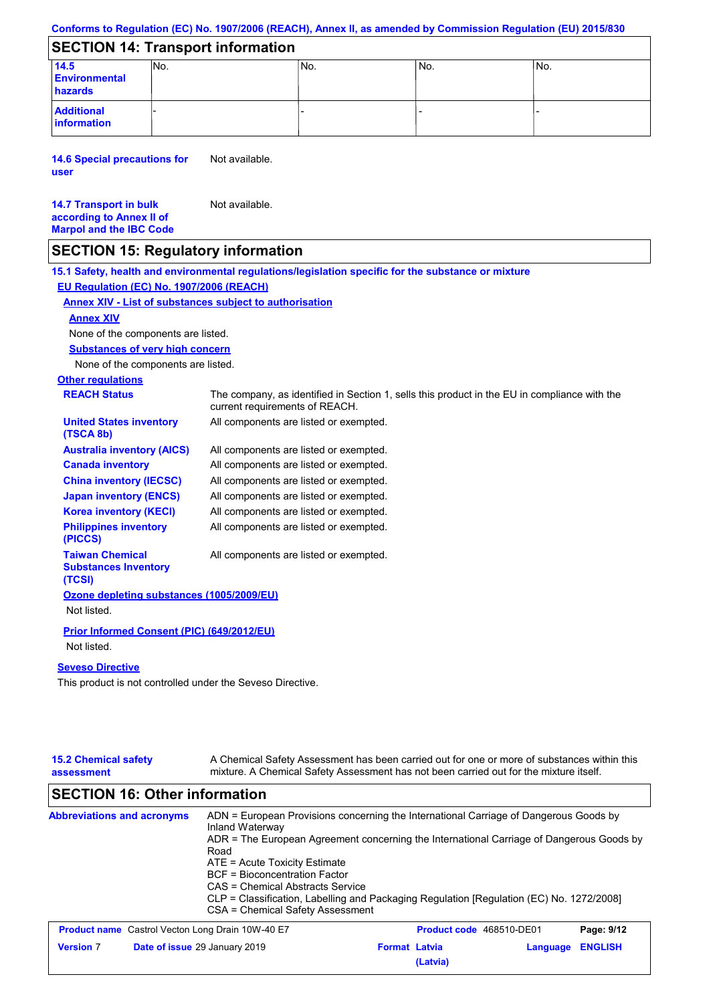|  |  | Conforms to Regulation (EC) No. 1907/2006 (REACH), Annex II, as amended by Commission Regulation (EU) 2015/830 |  |
|--|--|----------------------------------------------------------------------------------------------------------------|--|
|--|--|----------------------------------------------------------------------------------------------------------------|--|

### **SECTION 14: Transport information**

|                                  | __________________________________ |      |     |                 |
|----------------------------------|------------------------------------|------|-----|-----------------|
| 14.5                             | INo.                               | 'No. | No. | IN <sub>o</sub> |
| <b>Environmental</b>             |                                    |      |     |                 |
| hazards                          |                                    |      |     |                 |
| <b>Additional</b><br>information |                                    |      |     |                 |

**14.6 Special precautions for user** Not available.

#### **14.7 Transport in bulk according to Annex II of Marpol and the IBC Code** Not available.

## **SECTION 15: Regulatory information**

**Other regulations REACH Status** The company, as identified in Section 1, sells this product in the EU in compliance with the current requirements of REACH. **15.1 Safety, health and environmental regulations/legislation specific for the substance or mixture EU Regulation (EC) No. 1907/2006 (REACH) Annex XIV - List of substances subject to authorisation Substances of very high concern** None of the components are listed. All components are listed or exempted. All components are listed or exempted. All components are listed or exempted. All components are listed or exempted. All components are listed or exempted. All components are listed or exempted. All components are listed or exempted. **United States inventory (TSCA 8b) Australia inventory (AICS) Canada inventory China inventory (IECSC) Japan inventory (ENCS) Korea inventory (KECI) Philippines inventory (PICCS) Taiwan Chemical Substances Inventory (TCSI)** All components are listed or exempted. **Ozone depleting substances (1005/2009/EU)** Not listed. **Prior Informed Consent (PIC) (649/2012/EU)** Not listed. **Seveso Directive** None of the components are listed. **Annex XIV**

This product is not controlled under the Seveso Directive.

| <b>15.2 Chemical safety</b><br>assessment               | A Chemical Safety Assessment has been carried out for one or more of substances within this<br>mixture. A Chemical Safety Assessment has not been carried out for the mixture itself.                                                                                                                                                                                                                                                                       |                      |                          |          |                |
|---------------------------------------------------------|-------------------------------------------------------------------------------------------------------------------------------------------------------------------------------------------------------------------------------------------------------------------------------------------------------------------------------------------------------------------------------------------------------------------------------------------------------------|----------------------|--------------------------|----------|----------------|
| <b>SECTION 16: Other information</b>                    |                                                                                                                                                                                                                                                                                                                                                                                                                                                             |                      |                          |          |                |
| <b>Abbreviations and acronyms</b>                       | ADN = European Provisions concerning the International Carriage of Dangerous Goods by<br>Inland Waterway<br>ADR = The European Agreement concerning the International Carriage of Dangerous Goods by<br>Road<br>$ATE = Acute Toxicity Estimate$<br><b>BCF</b> = Bioconcentration Factor<br>CAS = Chemical Abstracts Service<br>CLP = Classification, Labelling and Packaging Regulation [Regulation (EC) No. 1272/2008]<br>CSA = Chemical Safety Assessment |                      |                          |          |                |
| <b>Product name</b> Castrol Vecton Long Drain 10W-40 E7 |                                                                                                                                                                                                                                                                                                                                                                                                                                                             |                      | Product code 468510-DE01 |          | Page: 9/12     |
| <b>Version 7</b>                                        | Date of issue 29 January 2019                                                                                                                                                                                                                                                                                                                                                                                                                               | <b>Format Latvia</b> | (Latvia)                 | Language | <b>ENGLISH</b> |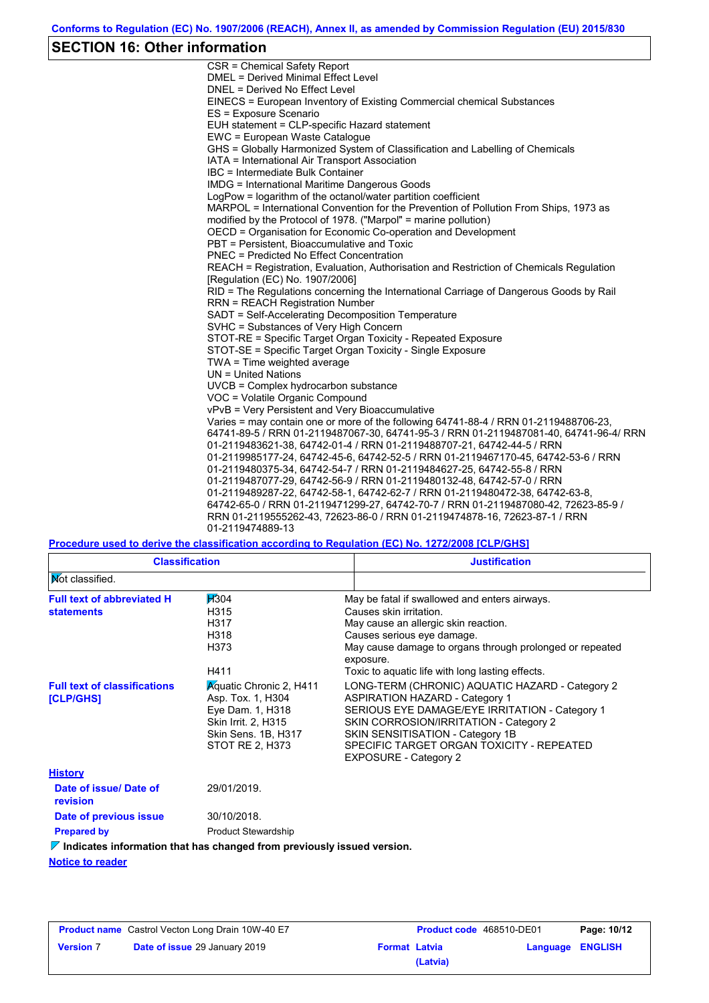# **SECTION 16: Other information**

| CSR = Chemical Safety Report                                                            |
|-----------------------------------------------------------------------------------------|
| <b>DMEL = Derived Minimal Effect Level</b>                                              |
| DNEL = Derived No Effect Level                                                          |
| EINECS = European Inventory of Existing Commercial chemical Substances                  |
| ES = Exposure Scenario                                                                  |
| EUH statement = CLP-specific Hazard statement                                           |
| EWC = European Waste Catalogue                                                          |
| GHS = Globally Harmonized System of Classification and Labelling of Chemicals           |
| IATA = International Air Transport Association                                          |
| IBC = Intermediate Bulk Container                                                       |
| <b>IMDG = International Maritime Dangerous Goods</b>                                    |
| LogPow = logarithm of the octanol/water partition coefficient                           |
| MARPOL = International Convention for the Prevention of Pollution From Ships, 1973 as   |
| modified by the Protocol of 1978. ("Marpol" = marine pollution)                         |
| OECD = Organisation for Economic Co-operation and Development                           |
| PBT = Persistent, Bioaccumulative and Toxic                                             |
| <b>PNEC = Predicted No Effect Concentration</b>                                         |
| REACH = Registration, Evaluation, Authorisation and Restriction of Chemicals Regulation |
| [Requlation (EC) No. 1907/2006]                                                         |
| RID = The Regulations concerning the International Carriage of Dangerous Goods by Rail  |
| <b>RRN = REACH Registration Number</b>                                                  |
| SADT = Self-Accelerating Decomposition Temperature                                      |
| SVHC = Substances of Very High Concern                                                  |
| STOT-RE = Specific Target Organ Toxicity - Repeated Exposure                            |
| STOT-SE = Specific Target Organ Toxicity - Single Exposure                              |
| TWA = Time weighted average                                                             |
| $UN = United Nations$                                                                   |
| UVCB = Complex hydrocarbon substance<br>VOC = Volatile Organic Compound                 |
| vPvB = Very Persistent and Very Bioaccumulative                                         |
| Varies = may contain one or more of the following 64741-88-4 / RRN 01-2119488706-23,    |
| 64741-89-5 / RRN 01-2119487067-30, 64741-95-3 / RRN 01-2119487081-40, 64741-96-4/ RRN   |
| 01-2119483621-38, 64742-01-4 / RRN 01-2119488707-21, 64742-44-5 / RRN                   |
| 01-2119985177-24, 64742-45-6, 64742-52-5 / RRN 01-2119467170-45, 64742-53-6 / RRN       |
| 01-2119480375-34, 64742-54-7 / RRN 01-2119484627-25, 64742-55-8 / RRN                   |
| 01-2119487077-29, 64742-56-9 / RRN 01-2119480132-48, 64742-57-0 / RRN                   |
| 01-2119489287-22, 64742-58-1, 64742-62-7 / RRN 01-2119480472-38, 64742-63-8,            |
| 64742-65-0 / RRN 01-2119471299-27, 64742-70-7 / RRN 01-2119487080-42, 72623-85-9 /      |
| RRN 01-2119555262-43, 72623-86-0 / RRN 01-2119474878-16, 72623-87-1 / RRN               |
| 01-2119474889-13                                                                        |
|                                                                                         |

**Procedure used to derive the classification according to Regulation (EC) No. 1272/2008 [CLP/GHS]**

|                                                        | <b>Classification</b><br><b>Justification</b>                                                                                            |                                                                                                                                                                                                                                                                                                       |
|--------------------------------------------------------|------------------------------------------------------------------------------------------------------------------------------------------|-------------------------------------------------------------------------------------------------------------------------------------------------------------------------------------------------------------------------------------------------------------------------------------------------------|
| <b>Mot classified.</b>                                 |                                                                                                                                          |                                                                                                                                                                                                                                                                                                       |
| <b>Full text of abbreviated H</b><br><b>statements</b> | <b>H</b> 304<br>H315<br>H317<br>H318<br>H373<br>H411                                                                                     | May be fatal if swallowed and enters airways.<br>Causes skin irritation.<br>May cause an allergic skin reaction.<br>Causes serious eye damage.<br>May cause damage to organs through prolonged or repeated<br>exposure.<br>Toxic to aquatic life with long lasting effects.                           |
| <b>Full text of classifications</b><br>[CLP/GHS]       | <b>Aguatic Chronic 2, H411</b><br>Asp. Tox. 1, H304<br>Eye Dam. 1, H318<br>Skin Irrit. 2, H315<br>Skin Sens. 1B, H317<br>STOT RE 2, H373 | LONG-TERM (CHRONIC) AQUATIC HAZARD - Category 2<br><b>ASPIRATION HAZARD - Category 1</b><br>SERIOUS EYE DAMAGE/EYE IRRITATION - Category 1<br>SKIN CORROSION/IRRITATION - Category 2<br>SKIN SENSITISATION - Category 1B<br>SPECIFIC TARGET ORGAN TOXICITY - REPEATED<br><b>EXPOSURE - Category 2</b> |
| <b>History</b>                                         |                                                                                                                                          |                                                                                                                                                                                                                                                                                                       |
| Date of issue/ Date of<br>revision                     | 29/01/2019.                                                                                                                              |                                                                                                                                                                                                                                                                                                       |
| Date of previous issue                                 | 30/10/2018.                                                                                                                              |                                                                                                                                                                                                                                                                                                       |
| <b>Prepared by</b>                                     | <b>Product Stewardship</b>                                                                                                               |                                                                                                                                                                                                                                                                                                       |
|                                                        | $\triangledown$ Indicates information that has changed from previously issued version.                                                   |                                                                                                                                                                                                                                                                                                       |
| <b>Notice to reader</b>                                |                                                                                                                                          |                                                                                                                                                                                                                                                                                                       |

| <b>Product name</b> Castrol Vecton Long Drain 10W-40 E7 |                                      | <b>Product code</b> 468510-DE01 |          | Page: 10/12             |  |
|---------------------------------------------------------|--------------------------------------|---------------------------------|----------|-------------------------|--|
| <b>Version 7</b>                                        | <b>Date of issue 29 January 2019</b> | <b>Format Latvia</b>            |          | <b>Language ENGLISH</b> |  |
|                                                         |                                      |                                 | (Latvia) |                         |  |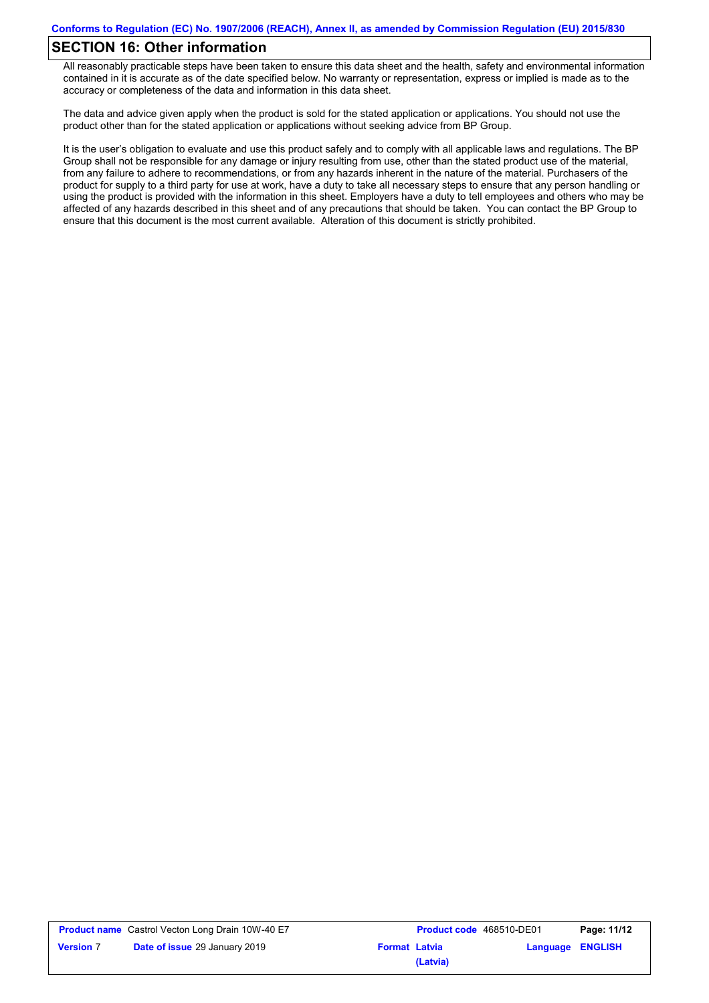## **SECTION 16: Other information**

All reasonably practicable steps have been taken to ensure this data sheet and the health, safety and environmental information contained in it is accurate as of the date specified below. No warranty or representation, express or implied is made as to the accuracy or completeness of the data and information in this data sheet.

The data and advice given apply when the product is sold for the stated application or applications. You should not use the product other than for the stated application or applications without seeking advice from BP Group.

It is the user's obligation to evaluate and use this product safely and to comply with all applicable laws and regulations. The BP Group shall not be responsible for any damage or injury resulting from use, other than the stated product use of the material, from any failure to adhere to recommendations, or from any hazards inherent in the nature of the material. Purchasers of the product for supply to a third party for use at work, have a duty to take all necessary steps to ensure that any person handling or using the product is provided with the information in this sheet. Employers have a duty to tell employees and others who may be affected of any hazards described in this sheet and of any precautions that should be taken. You can contact the BP Group to ensure that this document is the most current available. Alteration of this document is strictly prohibited.

|                  | <b>Product name</b> Castrol Vecton Long Drain 10W-40 E7 |                      | <b>Product code</b> 468510-DE01 |                         | Page: 11/12 |
|------------------|---------------------------------------------------------|----------------------|---------------------------------|-------------------------|-------------|
| <b>Version</b> 7 | <b>Date of issue 29 January 2019</b>                    | <b>Format Latvia</b> |                                 | <b>Language ENGLISH</b> |             |
|                  |                                                         |                      | (Latvia)                        |                         |             |